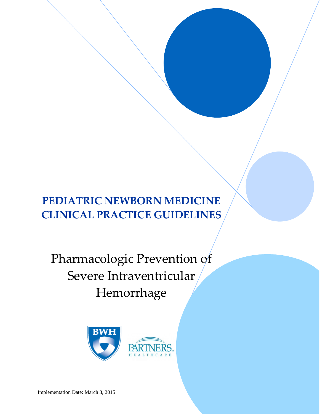# **PEDIATRIC NEWBORN MEDICINE CLINICAL PRACTICE GUIDELINES**

Pharmacologic Prevention of Severe Intraventricular Hemorrhage

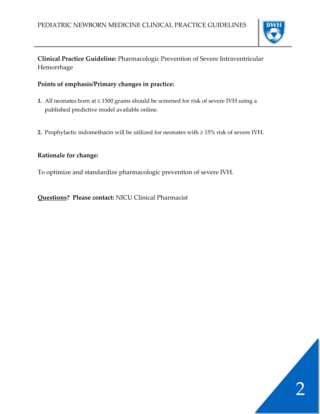

# **Clinical Practice Guideline:** Pharmacologic Prevention of Severe Intraventricular Hemorrhage

# **Points of emphasis/Primary changes in practice:**

- **1.** All neonates born at ≤ 1500 grams should be screened for risk of severe IVH using a published predictive model available online.
- **2.** Prophylactic indomethacin will be utilized for neonates with ≥ 15% risk of severe IVH.

# **Rationale for change:**

To optimize and standardize pharmacologic prevention of severe IVH.

**Questions? Please contact:** NICU Clinical Pharmacist

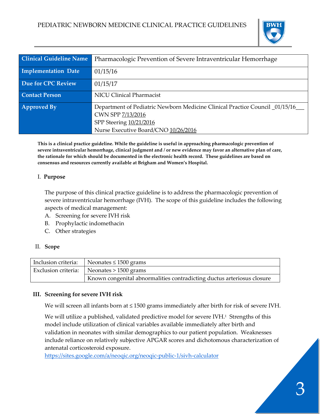

| <b>Clinical Guideline Name</b> | Pharmacologic Prevention of Severe Intraventricular Hemorrhage                                                                                                        |  |
|--------------------------------|-----------------------------------------------------------------------------------------------------------------------------------------------------------------------|--|
| Implementation Date            | 01/15/16                                                                                                                                                              |  |
| Due for CPC Review             | 01/15/17                                                                                                                                                              |  |
| <b>Contact Person</b>          | <b>NICU Clinical Pharmacist</b>                                                                                                                                       |  |
| <b>Approved By</b>             | Department of Pediatric Newborn Medicine Clinical Practice Council _01/15/16_<br>CWN SPP 7/13/2016<br>SPP Steering 10/21/2016<br>Nurse Executive Board/CNO 10/26/2016 |  |

**This is a clinical practice guideline. While the guideline is useful in approaching pharmacologic prevention of severe intraventricular hemorrhage, clinical judgment and / or new evidence may favor an alternative plan of care, the rationale for which should be documented in the electronic health record. These guidelines are based on consensus and resources currently available at Brigham and Women's Hospital.**

#### I. **Purpose**

The purpose of this clinical practice guideline is to address the pharmacologic prevention of severe intraventricular hemorrhage (IVH). The scope of this guideline includes the following aspects of medical management:

- A. Screening for severe IVH risk
- B. Prophylactic indomethacin
- C. Other strategies

#### II. **Scope**

| Inclusion criteria: Neonates $\leq$ 1500 grams                         |  |
|------------------------------------------------------------------------|--|
| Exclusion criteria:   Neonates > 1500 grams                            |  |
| Known congenital abnormalities contradicting ductus arteriosus closure |  |

#### **III. Screening for severe IVH risk**

We will screen all infants born at ≤ 1500 grams immediately after birth for risk of severe IVH.

We will utilize a published, validated predictive model for severe IVH.<sup>1</sup> Strengths of this model include utilization of clinical variables available immediately after birth and validation in neonates with similar demographics to our patient population. Weaknesses include reliance on relatively subjective APGAR scores and dichotomous characterization of antenatal corticosteroid exposure.

[https://sites.google.com/a/neoqic.org/neoqic](https://sites.google.com/a/neoqic.org/neoqic-public-1/sivh-calculator)-public-1/sivh-calculator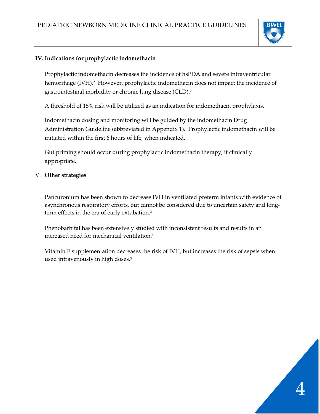

### **IV. Indications for prophylactic indomethacin**

Prophylactic indomethacin decreases the incidence of hsPDA and severe intraventricular hemorrhage (IVH).<sup>2</sup> However, prophylactic indomethacin does not impact the incidence of gastrointestinal morbidity or chronic lung disease (CLD)[.](#page-5-1)<sup>2</sup>

A threshold of 15% risk will be utilized as an indication for indomethacin prophylaxis.

Indomethacin dosing and monitoring will be guided by the indomethacin Drug Administration Guideline (abbreviated in Appendix 1). Prophylactic indomethacin will be initiated within the first 6 hours of life, when indicated.

Gut priming should occur during prophylactic indomethacin therapy, if clinically appropriate.

## V. **Other strategies**

Pancuronium has been shown to decrease IVH in ventilated preterm infants with evidence of asynchronous respiratory efforts, but cannot be considered due to uncertain safety and longterm effects in the era of early extubation[.3](#page-5-2)

Phenobarbital has been extensively studied with inconsistent results and results in an increased need for mechanical ventilatio[n.4](#page-5-3)

Vitamin E supplementation decreases the risk of IVH, but increases the risk of sepsis when used intravenously in high doses.<sup>5</sup>

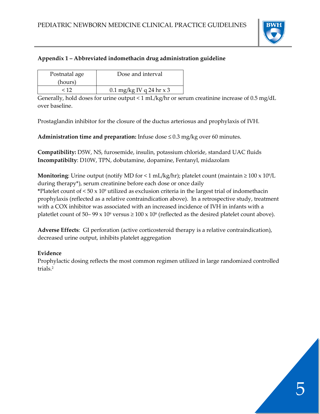

# **Appendix 1 – Abbreviated indomethacin drug administration guideline**

| Postnatal age | Dose and interval          |
|---------------|----------------------------|
| (hours)       |                            |
| $\leq 12$     | $0.1$ mg/kg IV q 24 hr x 3 |

Generally, hold doses for urine output < 1 mL/kg/hr or serum creatinine increase of 0.5 mg/dL over baseline.

Prostaglandin inhibitor for the closure of the ductus arteriosus and prophylaxis of IVH.

**Administration time and preparation:** Infuse dose ≤ 0.3 mg/kg over 60 minutes.

**Compatibility:** D5W, NS, furosemide, insulin, potassium chloride, standard UAC fluids **Incompatibilty**: D10W, TPN, dobutamine, dopamine, Fentanyl, midazolam

**Monitoring**: Urine output (notify MD for < 1 mL/kg/hr); platelet count (maintain  $\geq 100 \times 10^{9}/L$ during therapy\*), serum creatinine before each dose or once daily **\***Platelet count of < 50 x 10<sup>9</sup> utilized as exclusion criteria in the largest trial of indomethacin prophylaxis (reflected as a relative contraindication above). In a retrospective study, treatment with a COX inhibitor was associated with an increased incidence of IVH in infants with a platetlet count of 50–  $99 \times 10^9$  versus  $\ge 100 \times 10^9$  (reflected as the desired platelet count above).

**Adverse Effects**: GI perforation (active corticosteroid therapy is a relative contraindication), decreased urine output, inhibits platelet aggregation

## **Evidence**

Prophylactic dosing reflects the most common regimen utilized in large randomized controlled trials<sup>2</sup>